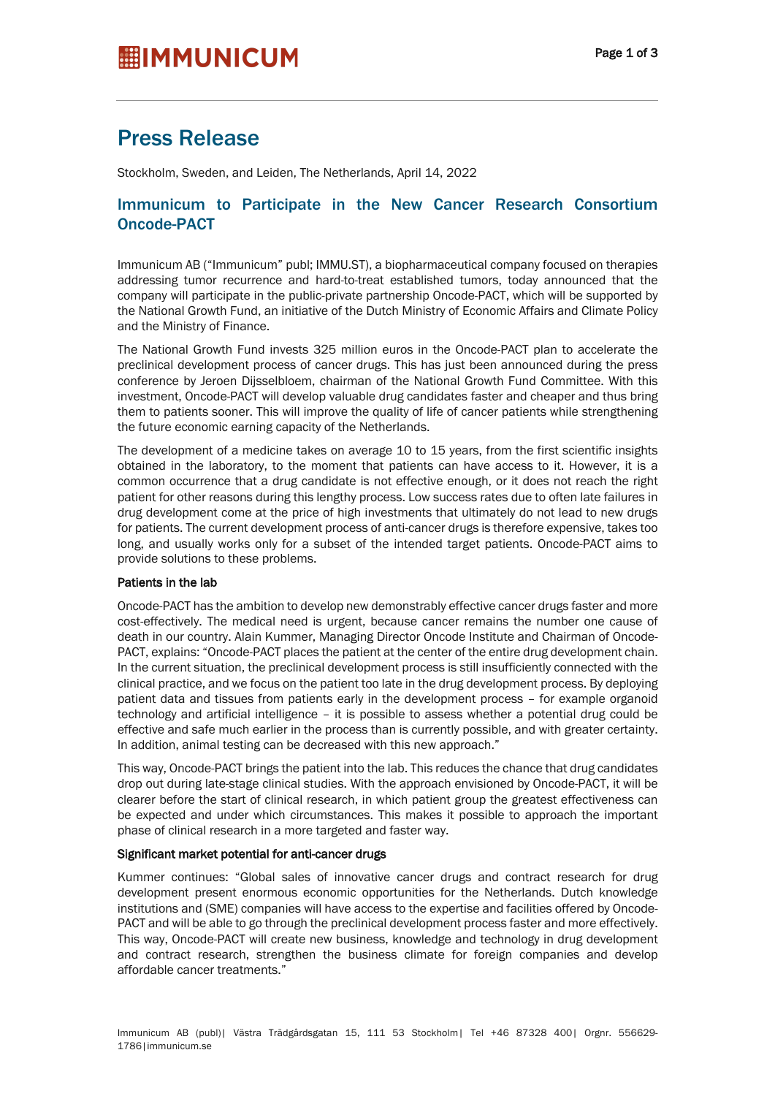# Press Release

Stockholm, Sweden, and Leiden, The Netherlands, April 14, 2022

# Immunicum to Participate in the New Cancer Research Consortium Oncode-PACT

Immunicum AB ("Immunicum" publ; IMMU.ST), a biopharmaceutical company focused on therapies addressing tumor recurrence and hard-to-treat established tumors, today announced that the company will participate in the public-private partnership Oncode-PACT, which will be supported by the National Growth Fund, an initiative of the Dutch Ministry of Economic Affairs and Climate Policy and the Ministry of Finance.

The National Growth Fund invests 325 million euros in the Oncode-PACT plan to accelerate the preclinical development process of cancer drugs. This has just been announced during the press conference by Jeroen Dijsselbloem, chairman of the National Growth Fund Committee. With this investment, Oncode-PACT will develop valuable drug candidates faster and cheaper and thus bring them to patients sooner. This will improve the quality of life of cancer patients while strengthening the future economic earning capacity of the Netherlands.

The development of a medicine takes on average 10 to 15 years, from the first scientific insights obtained in the laboratory, to the moment that patients can have access to it. However, it is a common occurrence that a drug candidate is not effective enough, or it does not reach the right patient for other reasons during this lengthy process. Low success rates due to often late failures in drug development come at the price of high investments that ultimately do not lead to new drugs for patients. The current development process of anti-cancer drugs is therefore expensive, takes too long, and usually works only for a subset of the intended target patients. Oncode-PACT aims to provide solutions to these problems.

# Patients in the lab

Oncode-PACT has the ambition to develop new demonstrably effective cancer drugs faster and more cost-effectively. The medical need is urgent, because cancer remains the number one cause of death in our country. Alain Kummer, Managing Director Oncode Institute and Chairman of Oncode-PACT, explains: "Oncode-PACT places the patient at the center of the entire drug development chain. In the current situation, the preclinical development process is still insufficiently connected with the clinical practice, and we focus on the patient too late in the drug development process. By deploying patient data and tissues from patients early in the development process – for example organoid technology and artificial intelligence – it is possible to assess whether a potential drug could be effective and safe much earlier in the process than is currently possible, and with greater certainty. In addition, animal testing can be decreased with this new approach."

This way, Oncode-PACT brings the patient into the lab. This reduces the chance that drug candidates drop out during late-stage clinical studies. With the approach envisioned by Oncode-PACT, it will be clearer before the start of clinical research, in which patient group the greatest effectiveness can be expected and under which circumstances. This makes it possible to approach the important phase of clinical research in a more targeted and faster way.

# Significant market potential for anti-cancer drugs

Kummer continues: "Global sales of innovative cancer drugs and contract research for drug development present enormous economic opportunities for the Netherlands. Dutch knowledge institutions and (SME) companies will have access to the expertise and facilities offered by Oncode-PACT and will be able to go through the preclinical development process faster and more effectively. This way, Oncode-PACT will create new business, knowledge and technology in drug development and contract research, strengthen the business climate for foreign companies and develop affordable cancer treatments."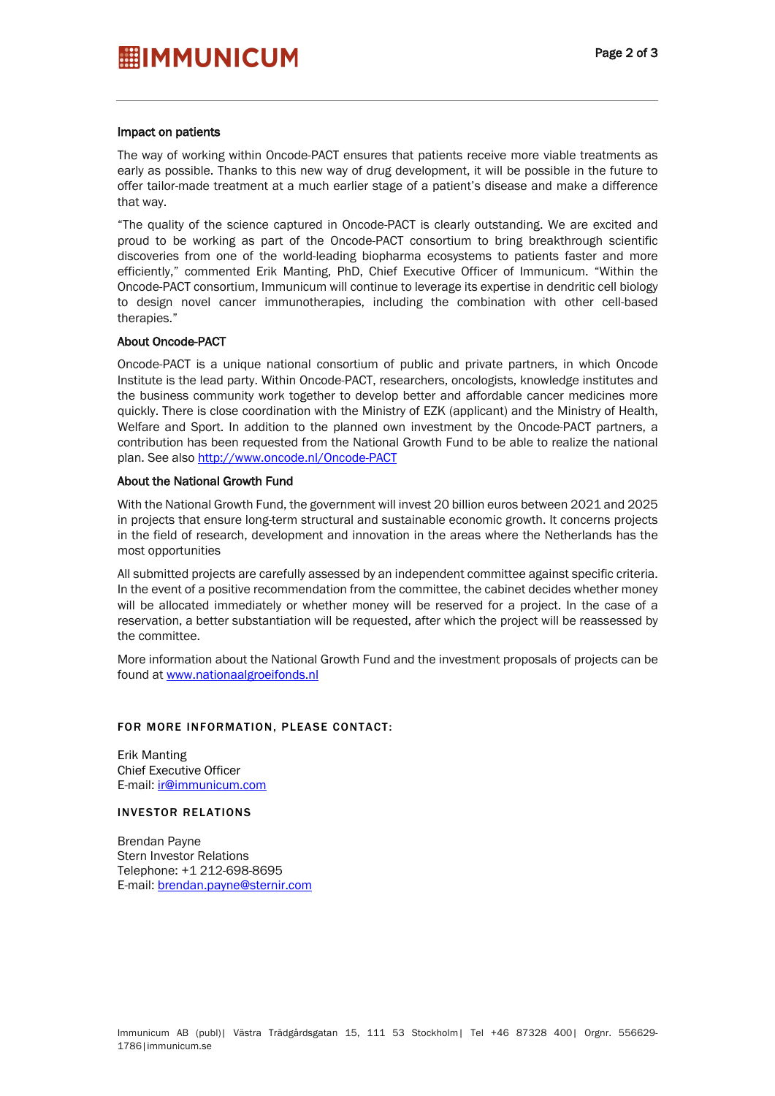# Impact on patients

The way of working within Oncode-PACT ensures that patients receive more viable treatments as early as possible. Thanks to this new way of drug development, it will be possible in the future to offer tailor-made treatment at a much earlier stage of a patient's disease and make a difference that way.

"The quality of the science captured in Oncode-PACT is clearly outstanding. We are excited and proud to be working as part of the Oncode-PACT consortium to bring breakthrough scientific discoveries from one of the world-leading biopharma ecosystems to patients faster and more efficiently," commented Erik Manting, PhD, Chief Executive Officer of Immunicum. "Within the Oncode-PACT consortium, Immunicum will continue to leverage its expertise in dendritic cell biology to design novel cancer immunotherapies, including the combination with other cell-based therapies."

#### About Oncode-PACT

Oncode-PACT is a unique national consortium of public and private partners, in which Oncode Institute is the lead party. Within Oncode-PACT, researchers, oncologists, knowledge institutes and the business community work together to develop better and affordable cancer medicines more quickly. There is close coordination with the Ministry of EZK (applicant) and the Ministry of Health, Welfare and Sport. In addition to the planned own investment by the Oncode-PACT partners, a contribution has been requested from the National Growth Fund to be able to realize the national plan. See also http://www.oncode.nl/Oncode-PACT

# About the National Growth Fund

With the National Growth Fund, the government will invest 20 billion euros between 2021 and 2025 in projects that ensure long-term structural and sustainable economic growth. It concerns projects in the field of research, development and innovation in the areas where the Netherlands has the most opportunities

All submitted projects are carefully assessed by an independent committee against specific criteria. In the event of a positive recommendation from the committee, the cabinet decides whether money will be allocated immediately or whether money will be reserved for a project. In the case of a reservation, a better substantiation will be requested, after which the project will be reassessed by the committee.

More information about the National Growth Fund and the investment proposals of projects can be found at www.nationaalgroeifonds.nl

#### FOR MORE INFORMATION, PLEASE CONTACT:

Erik Manting Chief Executive Officer E-mail: ir@immunicum.com

#### INVESTOR RELATIONS

Brendan Payne Stern Investor Relations Telephone: +1 212-698-8695 E-mail: brendan.payne@sternir.com